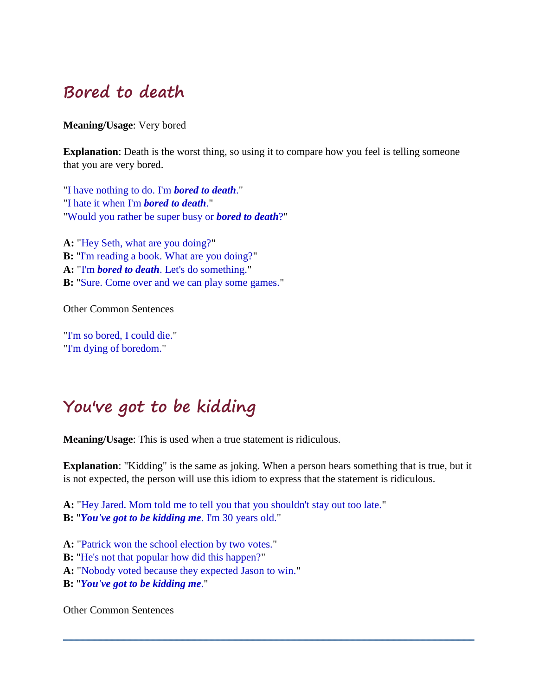### **Bored to death**

**Meaning/Usage**: Very bored

**Explanation**: Death is the worst thing, so using it to compare how you feel is telling someone that you are very bored.

"I have nothing to do. I'm *bored to death*." "I hate it when I'm *bored to death*." "Would you rather be super busy or *bored to death*?"

**A:** "Hey Seth, what are you doing?" **B:** "I'm reading a book. What are you doing?" **A:** "I'm *bored to death*. Let's do something." **B:** "Sure. Come over and we can play some games."

Other Common Sentences

"I'm so bored, I could die." "I'm dying of boredom."

# **You've got to be kidding**

**Meaning/Usage**: This is used when a true statement is ridiculous.

**Explanation**: "Kidding" is the same as joking. When a person hears something that is true, but it is not expected, the person will use this idiom to express that the statement is ridiculous.

**A:** "Hey Jared. Mom told me to tell you that you shouldn't stay out too late." **B:** "*You've got to be kidding me*. I'm 30 years old."

**A:** "Patrick won the school election by two votes."

**B:** "He's not that popular how did this happen?"

**A:** "Nobody voted because they expected Jason to win."

**B:** "*You've got to be kidding me*."

Other Common Sentences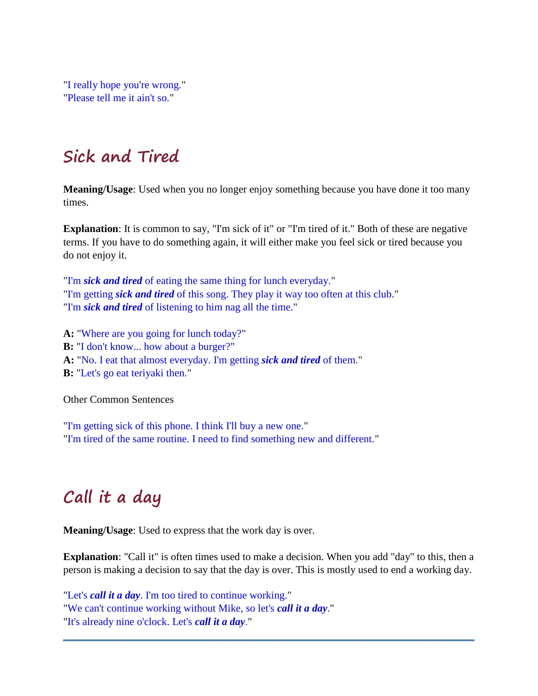"I really hope you're wrong." "Please tell me it ain't so."

# **Sick and Tired**

**Meaning/Usage**: Used when you no longer enjoy something because you have done it too many times.

**Explanation**: It is common to say, "I'm sick of it" or "I'm tired of it." Both of these are negative terms. If you have to do something again, it will either make you feel sick or tired because you do not enjoy it.

"I'm *sick and tired* of eating the same thing for lunch everyday." "I'm getting *sick and tired* of this song. They play it way too often at this club." "I'm *sick and tired* of listening to him nag all the time."

**A:** "Where are you going for lunch today?" **B:** "I don't know... how about a burger?" **A:** "No. I eat that almost everyday. I'm getting *sick and tired* of them." **B:** "Let's go eat teriyaki then."

Other Common Sentences

"I'm getting sick of this phone. I think I'll buy a new one." "I'm tired of the same routine. I need to find something new and different."

# **Call it a day**

**Meaning/Usage**: Used to express that the work day is over.

**Explanation**: "Call it" is often times used to make a decision. When you add "day" to this, then a person is making a decision to say that the day is over. This is mostly used to end a working day.

"Let's *call it a day*. I'm too tired to continue working." "We can't continue working without Mike, so let's *call it a day*." "It's already nine o'clock. Let's *call it a day*."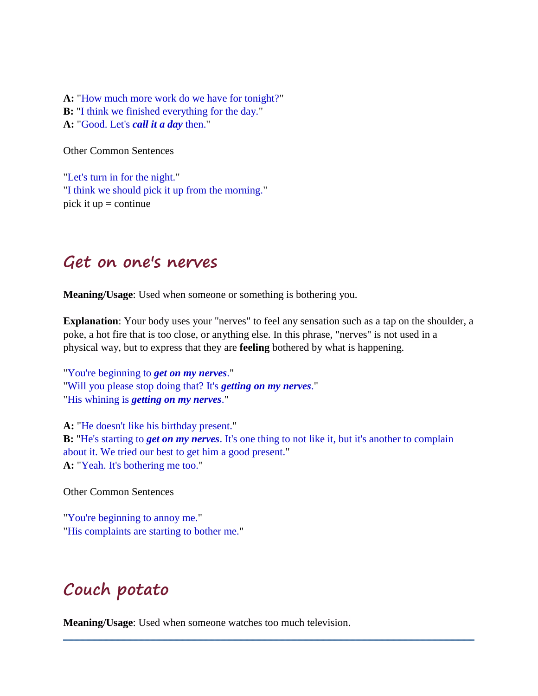**A:** "How much more work do we have for tonight?" **B:** "I think we finished everything for the day." **A:** "Good. Let's *call it a day* then."

Other Common Sentences

"Let's turn in for the night." "I think we should pick it up from the morning." pick it  $up =$  continue

#### **Get on one's nerves**

**Meaning/Usage**: Used when someone or something is bothering you.

**Explanation**: Your body uses your "nerves" to feel any sensation such as a tap on the shoulder, a poke, a hot fire that is too close, or anything else. In this phrase, "nerves" is not used in a physical way, but to express that they are **feeling** bothered by what is happening.

"You're beginning to *get on my nerves*." "Will you please stop doing that? It's *getting on my nerves*." "His whining is *getting on my nerves*."

**A:** "He doesn't like his birthday present." **B:** "He's starting to *get on my nerves*. It's one thing to not like it, but it's another to complain about it. We tried our best to get him a good present." **A:** "Yeah. It's bothering me too."

Other Common Sentences

"You're beginning to annoy me." "His complaints are starting to bother me."

# **Couch potato**

**Meaning/Usage**: Used when someone watches too much television.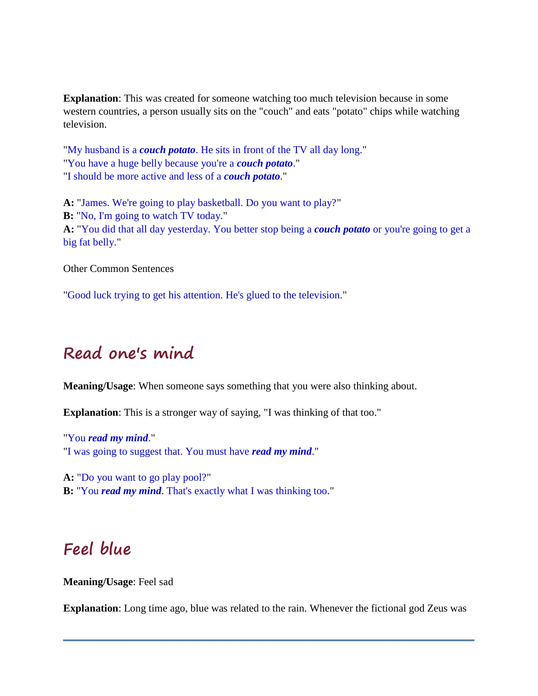**Explanation**: This was created for someone watching too much television because in some western countries, a person usually sits on the "couch" and eats "potato" chips while watching television.

"My husband is a *couch potato*. He sits in front of the TV all day long." "You have a huge belly because you're a *couch potato*." "I should be more active and less of a *couch potato*."

**A:** "James. We're going to play basketball. Do you want to play?" **B:** "No, I'm going to watch TV today." **A:** "You did that all day yesterday. You better stop being a *couch potato* or you're going to get a big fat belly."

Other Common Sentences

"Good luck trying to get his attention. He's glued to the television."

### **Read one's mind**

**Meaning/Usage**: When someone says something that you were also thinking about.

**Explanation**: This is a stronger way of saying, "I was thinking of that too."

"You *read my mind*." "I was going to suggest that. You must have *read my mind*."

**A:** "Do you want to go play pool?"

**B:** "You *read my mind*. That's exactly what I was thinking too."

### **Feel blue**

**Meaning/Usage**: Feel sad

**Explanation**: Long time ago, blue was related to the rain. Whenever the fictional god Zeus was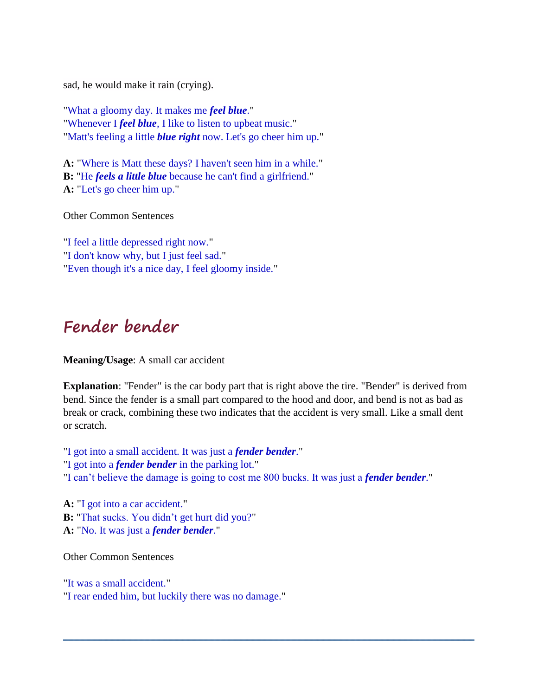sad, he would make it rain (crying).

"What a gloomy day. It makes me *feel blue*." "Whenever I *feel blue*, I like to listen to upbeat music." "Matt's feeling a little *blue right* now. Let's go cheer him up."

**A:** "Where is Matt these days? I haven't seen him in a while." **B:** "He *feels a little blue* because he can't find a girlfriend." **A:** "Let's go cheer him up."

Other Common Sentences

"I feel a little depressed right now." "I don't know why, but I just feel sad." "Even though it's a nice day, I feel gloomy inside."

#### **Fender bender**

**Meaning/Usage**: A small car accident

**Explanation**: "Fender" is the car body part that is right above the tire. "Bender" is derived from bend. Since the fender is a small part compared to the hood and door, and bend is not as bad as break or crack, combining these two indicates that the accident is very small. Like a small dent or scratch.

"I got into a small accident. It was just a *fender bender*." "I got into a *fender bender* in the parking lot." "I can't believe the damage is going to cost me 800 bucks. It was just a *fender bender*."

**A:** "I got into a car accident." **B:** "That sucks. You didn't get hurt did you?" **A:** "No. It was just a *fender bender*."

Other Common Sentences

"It was a small accident." "I rear ended him, but luckily there was no damage."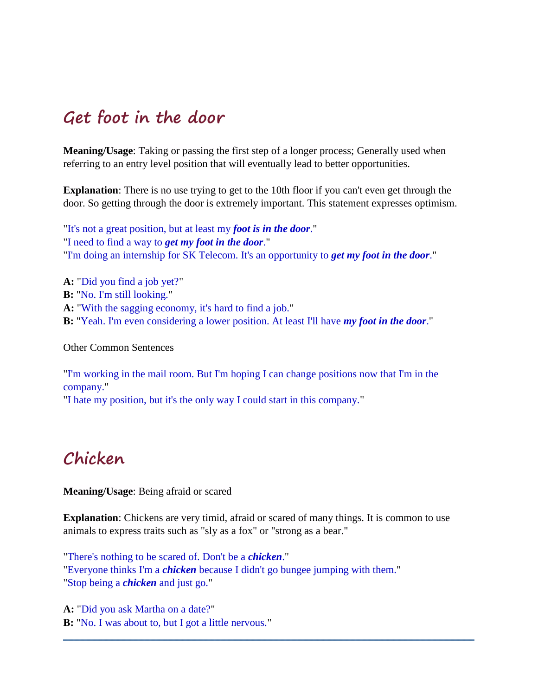#### **Get foot in the door**

**Meaning/Usage**: Taking or passing the first step of a longer process; Generally used when referring to an entry level position that will eventually lead to better opportunities.

**Explanation**: There is no use trying to get to the 10th floor if you can't even get through the door. So getting through the door is extremely important. This statement expresses optimism.

"It's not a great position, but at least my *foot is in the door*." "I need to find a way to *get my foot in the door*." "I'm doing an internship for SK Telecom. It's an opportunity to *get my foot in the door*."

**A:** "Did you find a job yet?" **B:** "No. I'm still looking." **A:** "With the sagging economy, it's hard to find a job." **B:** "Yeah. I'm even considering a lower position. At least I'll have *my foot in the door*."

Other Common Sentences

"I'm working in the mail room. But I'm hoping I can change positions now that I'm in the company." "I hate my position, but it's the only way I could start in this company."

### **Chicken**

**Meaning/Usage**: Being afraid or scared

**Explanation**: Chickens are very timid, afraid or scared of many things. It is common to use animals to express traits such as "sly as a fox" or "strong as a bear."

"There's nothing to be scared of. Don't be a *chicken*." "Everyone thinks I'm a *chicken* because I didn't go bungee jumping with them." "Stop being a *chicken* and just go."

**A:** "Did you ask Martha on a date?" **B:** "No. I was about to, but I got a little nervous."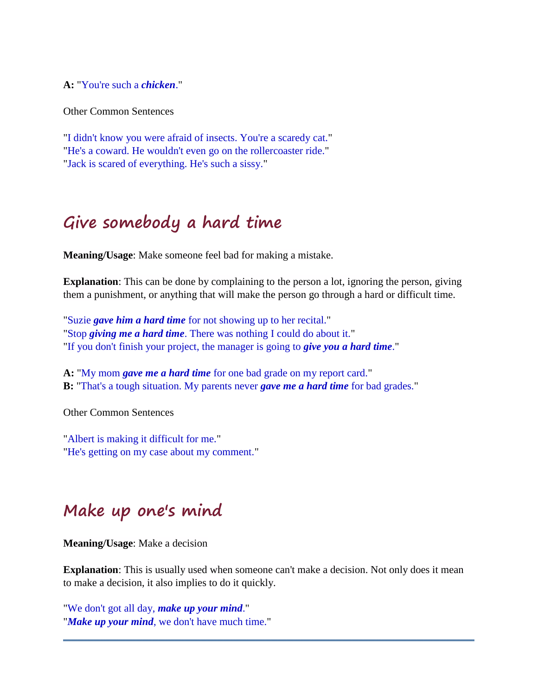**A:** "You're such a *chicken*."

Other Common Sentences

"I didn't know you were afraid of insects. You're a scaredy cat." "He's a coward. He wouldn't even go on the rollercoaster ride." "Jack is scared of everything. He's such a sissy."

### **Give somebody a hard time**

**Meaning/Usage**: Make someone feel bad for making a mistake.

**Explanation**: This can be done by complaining to the person a lot, ignoring the person, giving them a punishment, or anything that will make the person go through a hard or difficult time.

"Suzie *gave him a hard time* for not showing up to her recital." "Stop *giving me a hard time*. There was nothing I could do about it." "If you don't finish your project, the manager is going to *give you a hard time*."

**A:** "My mom *gave me a hard time* for one bad grade on my report card." **B:** "That's a tough situation. My parents never *gave me a hard time* for bad grades."

Other Common Sentences

"Albert is making it difficult for me." "He's getting on my case about my comment."

#### **Make up one's mind**

**Meaning/Usage**: Make a decision

**Explanation**: This is usually used when someone can't make a decision. Not only does it mean to make a decision, it also implies to do it quickly.

"We don't got all day, *make up your mind*." "*Make up your mind*, we don't have much time."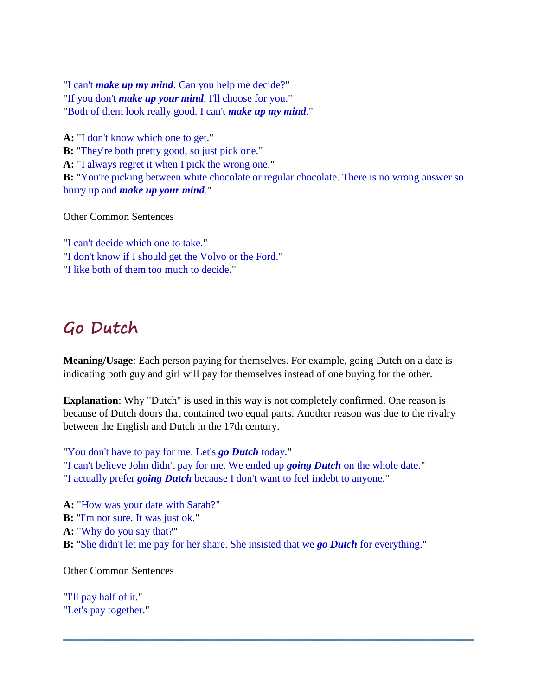"I can't *make up my mind*. Can you help me decide?" "If you don't *make up your mind*, I'll choose for you." "Both of them look really good. I can't *make up my mind*."

**A:** "I don't know which one to get." **B:** "They're both pretty good, so just pick one." **A:** "I always regret it when I pick the wrong one." **B:** "You're picking between white chocolate or regular chocolate. There is no wrong answer so hurry up and *make up your mind*."

Other Common Sentences

"I can't decide which one to take." "I don't know if I should get the Volvo or the Ford." "I like both of them too much to decide."

#### **Go Dutch**

**Meaning/Usage**: Each person paying for themselves. For example, going Dutch on a date is indicating both guy and girl will pay for themselves instead of one buying for the other.

**Explanation**: Why "Dutch" is used in this way is not completely confirmed. One reason is because of Dutch doors that contained two equal parts. Another reason was due to the rivalry between the English and Dutch in the 17th century.

"You don't have to pay for me. Let's *go Dutch* today." "I can't believe John didn't pay for me. We ended up *going Dutch* on the whole date." "I actually prefer *going Dutch* because I don't want to feel indebt to anyone."

**A:** "How was your date with Sarah?" **B:** "I'm not sure. It was just ok." **A:** "Why do you say that?" **B:** "She didn't let me pay for her share. She insisted that we *go Dutch* for everything."

Other Common Sentences

"I'll pay half of it." "Let's pay together."